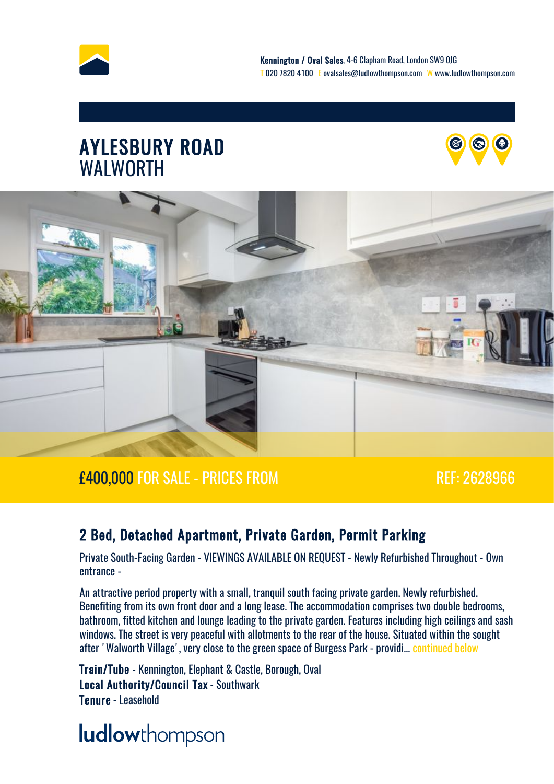





#### £400,000 FOR SALE - PRICES FROM REF: 2628966

#### 2 Bed, Detached Apartment, Private Garden, Permit Parking

Private South-Facing Garden - VIEWINGS AVAILABLE ON REQUEST - Newly Refurbished Throughout - Own entrance -

An attractive period property with a small, tranquil south facing private garden. Newly refurbished. Benefiting from its own front door and a long lease. The accommodation comprises two double bedrooms, bathroom, fitted kitchen and lounge leading to the private garden. Features including high ceilings and sash windows. The street is very peaceful with allotments to the rear of the house. Situated within the sought after 'Walworth Village', very close to the green space of Burgess Park - providi... [continued below](#page-3-0)

Train/Tube - Kennington, Elephant & Castle, Borough, Oval Local Authority/Council Tax - Southwark Tenure - Leasehold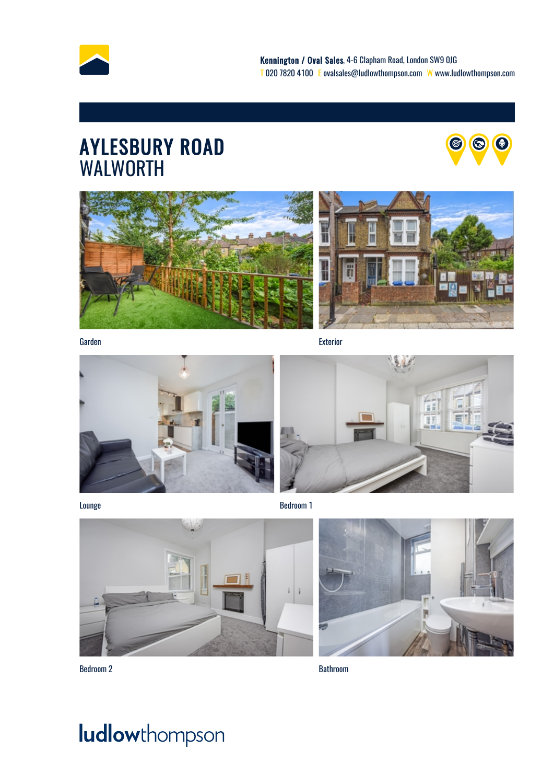

### AYLESBURY ROAD **AND AND** WALWORTH







Garden Exterior







Bedroom 2 Bathroom

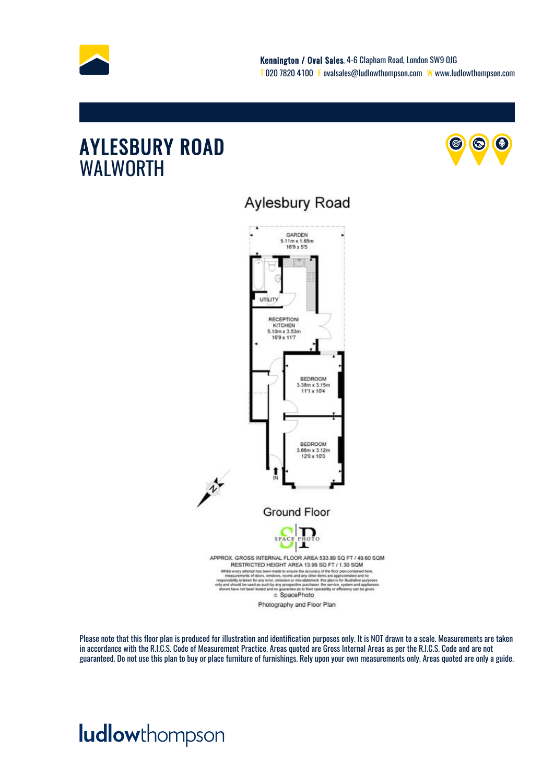

#### AYLESBURY ROAD **OCCURE AYLESBURY** ROAD WALWORTH



#### Aylesbury Road



Please note that this floor plan is produced for illustration and identification purposes only. It is NOT drawn to a scale. Measurements are taken in accordance with the R.I.C.S. Code of Measurement Practice. Areas quoted are Gross Internal Areas as per the R.I.C.S. Code and are not guaranteed. Do not use this plan to buy or place furniture of furnishings. Rely upon your own measurements only. Areas quoted are only a guide.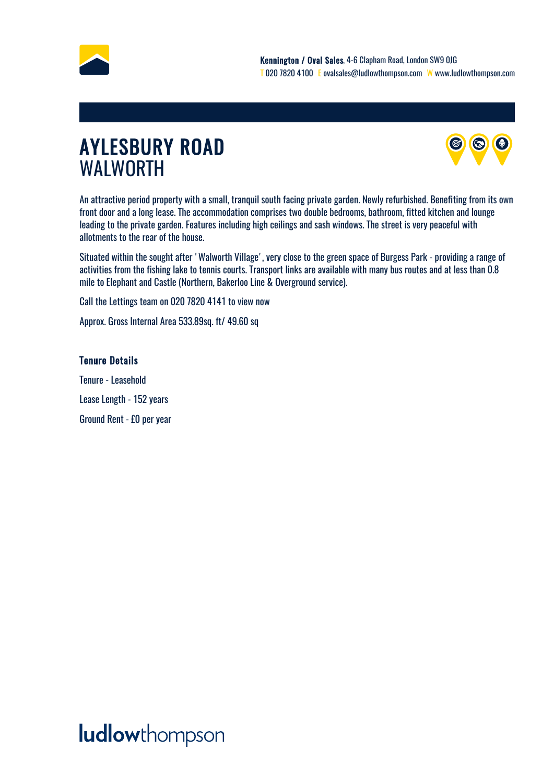<span id="page-3-0"></span>



An attractive period property with a small, tranquil south facing private garden. Newly refurbished. Benefiting from its own front door and a long lease. The accommodation comprises two double bedrooms, bathroom, fitted kitchen and lounge leading to the private garden. Features including high ceilings and sash windows. The street is very peaceful with allotments to the rear of the house.

Situated within the sought after 'Walworth Village', very close to the green space of Burgess Park - providing a range of activities from the fishing lake to tennis courts. Transport links are available with many bus routes and at less than 0.8 mile to Elephant and Castle (Northern, Bakerloo Line & Overground service).

Call the Lettings team on 020 7820 4141 to view now

Approx. Gross Internal Area 533.89sq. ft/ 49.60 sq

#### Tenure Details

Tenure - Leasehold Lease Length - 152 years Ground Rent - £0 per year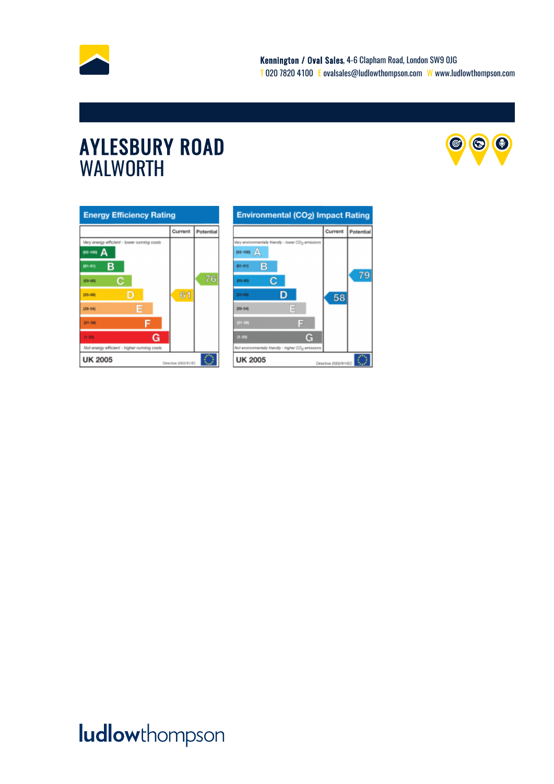



| <b>Energy Efficiency Rating</b>             |         |           |
|---------------------------------------------|---------|-----------|
|                                             | Current | Potential |
| Very energy efficient - lower running costs |         |           |
| 82-100) A                                   |         |           |
| в<br>(81-91)                                |         |           |
| с<br>(69-80)                                |         | 76        |
| D<br>$(55 - 68)$                            | 61      |           |
| E<br>$(39 - 54)$                            |         |           |
| Е<br>$21 - 30$                              |         |           |
| G<br>$13 - 203$                             |         |           |
| Not energy efficient - higher running casts |         |           |
| <b>UK 2005</b><br>Directive 2002/91/EC      |         |           |